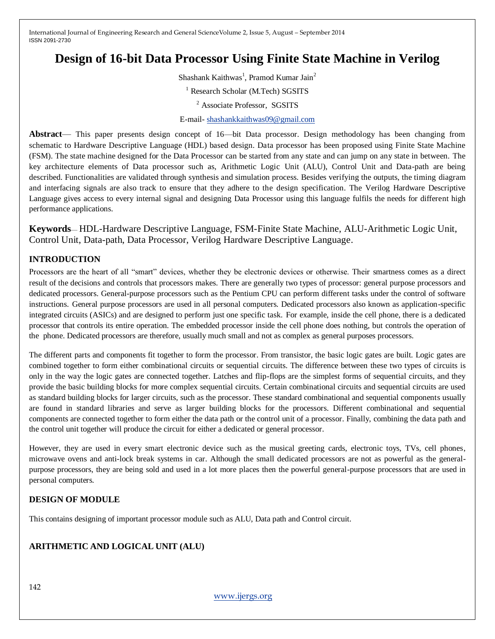# **Design of 16-bit Data Processor Using Finite State Machine in Verilog**

Shashank Kaithwas<sup>1</sup>, Pramod Kumar Jain<sup>2</sup> <sup>1</sup> Research Scholar (M.Tech) SGSITS <sup>2</sup> Associate Professor, SGSITS E-mail- [shashankkaithwas09@gmail.com](mailto:shashankkaithwas09@gmail.com)

**Abstract**— This paper presents design concept of 16—bit Data processor. Design methodology has been changing from schematic to Hardware Descriptive Language (HDL) based design. Data processor has been proposed using Finite State Machine (FSM). The state machine designed for the Data Processor can be started from any state and can jump on any state in between. The key architecture elements of Data processor such as, Arithmetic Logic Unit (ALU), Control Unit and Data-path are being described. Functionalities are validated through synthesis and simulation process. Besides verifying the outputs, the timing diagram and interfacing signals are also track to ensure that they adhere to the design specification. The Verilog Hardware Descriptive Language gives access to every internal signal and designing Data Processor using this language fulfils the needs for different high performance applications.

**Keywords**— HDL-Hardware Descriptive Language, FSM-Finite State Machine, ALU-Arithmetic Logic Unit, Control Unit, Data-path, Data Processor, Verilog Hardware Descriptive Language.

# **INTRODUCTION**

Processors are the heart of all "smart" devices, whether they be electronic devices or otherwise. Their smartness comes as a direct result of the decisions and controls that processors makes. There are generally two types of processor: general purpose processors and dedicated processors. General-purpose processors such as the Pentium CPU can perform different tasks under the control of software instructions. General purpose processors are used in all personal computers. Dedicated processors also known as application-specific integrated circuits (ASICs) and are designed to perform just one specific task. For example, inside the cell phone, there is a dedicated processor that controls its entire operation. The embedded processor inside the cell phone does nothing, but controls the operation of the phone. Dedicated processors are therefore, usually much small and not as complex as general purposes processors.

The different parts and components fit together to form the processor. From transistor, the basic logic gates are built. Logic gates are combined together to form either combinational circuits or sequential circuits. The difference between these two types of circuits is only in the way the logic gates are connected together. Latches and flip-flops are the simplest forms of sequential circuits, and they provide the basic building blocks for more complex sequential circuits. Certain combinational circuits and sequential circuits are used as standard building blocks for larger circuits, such as the processor. These standard combinational and sequential components usually are found in standard libraries and serve as larger building blocks for the processors. Different combinational and sequential components are connected together to form either the data path or the control unit of a processor. Finally, combining the data path and the control unit together will produce the circuit for either a dedicated or general processor.

However, they are used in every smart electronic device such as the musical greeting cards, electronic toys, TVs, cell phones, microwave ovens and anti-lock break systems in car. Although the small dedicated processors are not as powerful as the generalpurpose processors, they are being sold and used in a lot more places then the powerful general-purpose processors that are used in personal computers.

# **DESIGN OF MODULE**

This contains designing of important processor module such as ALU, Data path and Control circuit.

# **ARITHMETIC AND LOGICAL UNIT (ALU)**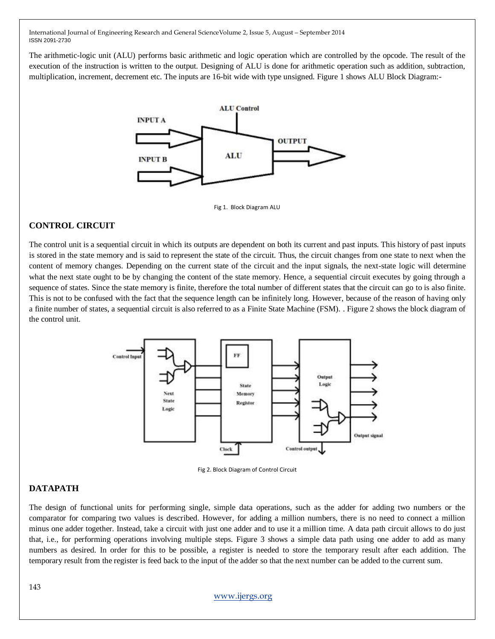The arithmetic-logic unit (ALU) performs basic arithmetic and logic operation which are controlled by the opcode. The result of the execution of the instruction is written to the output. Designing of ALU is done for arithmetic operation such as addition, subtraction, multiplication, increment, decrement etc. The inputs are 16-bit wide with type unsigned. Figure 1 shows ALU Block Diagram:-



Fig 1. Block Diagram ALU

### **CONTROL CIRCUIT**

The control unit is a sequential circuit in which its outputs are dependent on both its current and past inputs. This history of past inputs is stored in the state memory and is said to represent the state of the circuit. Thus, the circuit changes from one state to next when the content of memory changes. Depending on the current state of the circuit and the input signals, the next-state logic will determine what the next state ought to be by changing the content of the state memory. Hence, a sequential circuit executes by going through a sequence of states. Since the state memory is finite, therefore the total number of different states that the circuit can go to is also finite. This is not to be confused with the fact that the sequence length can be infinitely long. However, because of the reason of having only a finite number of states, a sequential circuit is also referred to as a Finite State Machine (FSM). . Figure 2 shows the block diagram of the control unit.



Fig 2. Block Diagram of Control Circuit

### **DATAPATH**

The design of functional units for performing single, simple data operations, such as the adder for adding two numbers or the comparator for comparing two values is described. However, for adding a million numbers, there is no need to connect a million minus one adder together. Instead, take a circuit with just one adder and to use it a million time. A data path circuit allows to do just that, i.e., for performing operations involving multiple steps. Figure 3 shows a simple data path using one adder to add as many numbers as desired. In order for this to be possible, a register is needed to store the temporary result after each addition. The temporary result from the register is feed back to the input of the adder so that the next number can be added to the current sum.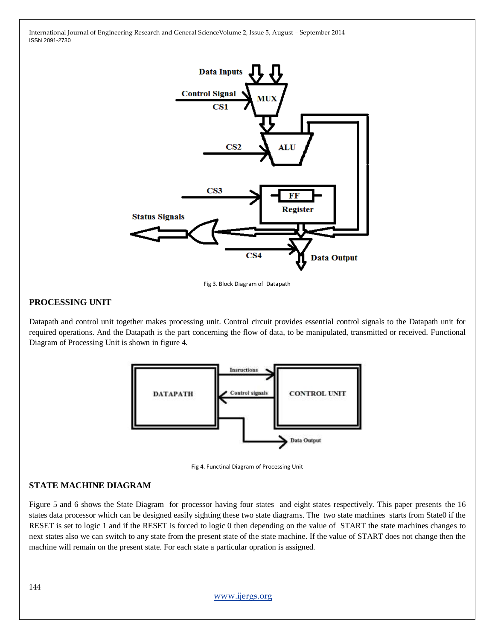

Fig 3. Block Diagram of Datapath

### **PROCESSING UNIT**

Datapath and control unit together makes processing unit. Control circuit provides essential control signals to the Datapath unit for required operations. And the Datapath is the part concerning the flow of data, to be manipulated, transmitted or received. Functional Diagram of Processing Unit is shown in figure 4.





#### **STATE MACHINE DIAGRAM**

Figure 5 and 6 shows the State Diagram for processor having four states and eight states respectively. This paper presents the 16 states data processor which can be designed easily sighting these two state diagrams. The two state machines starts from State0 if the RESET is set to logic 1 and if the RESET is forced to logic 0 then depending on the value of START the state machines changes to next states also we can switch to any state from the present state of the state machine. If the value of START does not change then the machine will remain on the present state. For each state a particular opration is assigned.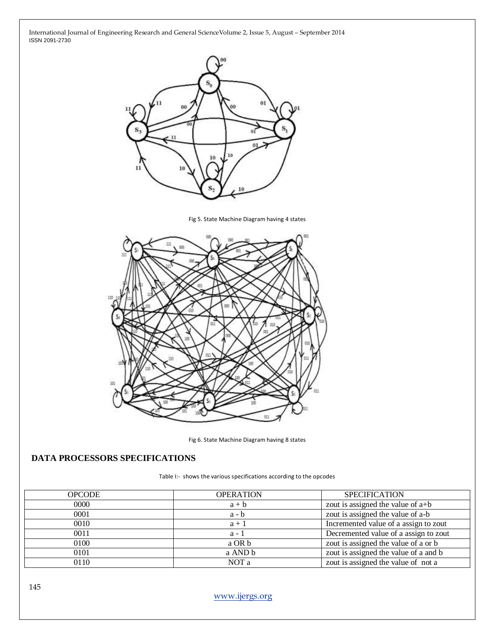

Fig 5. State Machine Diagram having 4 states



Fig 6. State Machine Diagram having 8 states

# **DATA PROCESSORS SPECIFICATIONS**

Table I:- shows the various specifications according to the opcodes

| <b>OPCODE</b> | <b>OPERATION</b> | <b>SPECIFICATION</b>                  |
|---------------|------------------|---------------------------------------|
| 0000          | $a + b$          | zout is assigned the value of $a+b$   |
| 0001          | $a - b$          | zout is assigned the value of a-b     |
| 0010          | $a + 1$          | Incremented value of a assign to zout |
| 0011          | $a - 1$          | Decremented value of a assign to zout |
| 0100          | a OR b           | zout is assigned the value of a or b  |
| 0101          | a AND b          | zout is assigned the value of a and b |
| 0110          | NOT a            | zout is assigned the value of not a   |

[www.ijergs.org](http://www.ijergs.org/)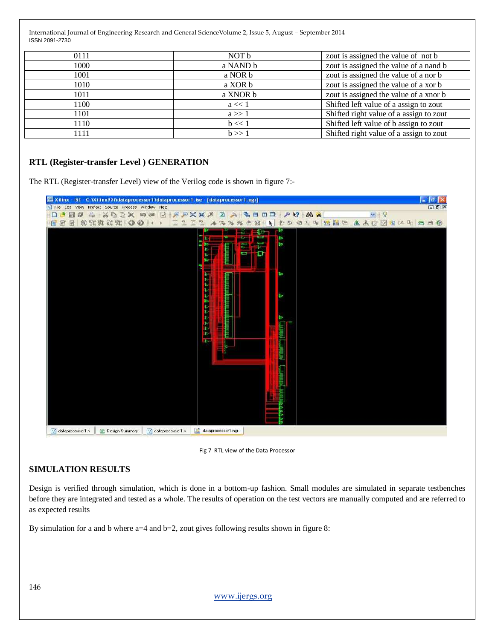| 0111 | NOT b     | zout is assigned the value of not b     |
|------|-----------|-----------------------------------------|
| 1000 | a NAND b  | zout is assigned the value of a nand b  |
| 1001 | a NOR b   | zout is assigned the value of a nor b   |
| 1010 | a XOR b   | zout is assigned the value of a xor b   |
| 1011 | a XNOR b  | zout is assigned the value of a xnor b  |
| 1100 | $a \ll 1$ | Shifted left value of a assign to zout  |
| 1101 | $a \gg 1$ | Shifted right value of a assign to zout |
| 1110 | $b \ll 1$ | Shifted left value of b assign to zout  |
| 1111 | b >> 1    | Shifted right value of a assign to zout |

# **RTL (Register-transfer Level ) GENERATION**

The RTL (Register-transfer Level) view of the Verilog code is shown in figure 7:-



Fig 7 RTL view of the Data Processor

### **SIMULATION RESULTS**

Design is verified through simulation, which is done in a bottom-up fashion. Small modules are simulated in separate testbenches before they are integrated and tested as a whole. The results of operation on the test vectors are manually computed and are referred to as expected results

By simulation for a and b where  $a=4$  and  $b=2$ , zout gives following results shown in figure 8:

[www.ijergs.org](http://www.ijergs.org/)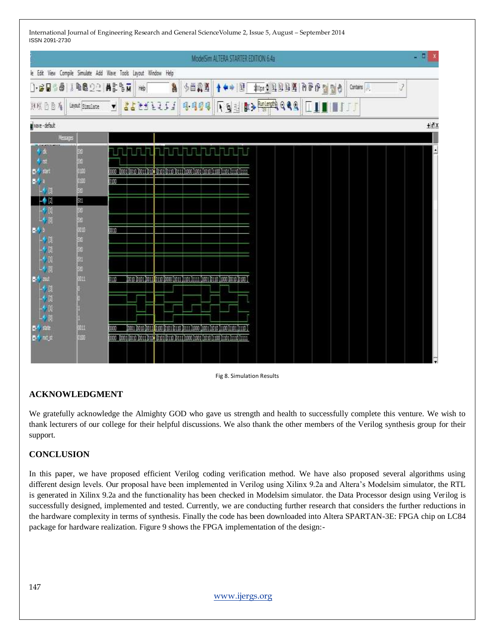|                                                                                  |                  | ModelSim ALTERA STARTER EDITION 6.4a                                                                                                                                           | - 9 |
|----------------------------------------------------------------------------------|------------------|--------------------------------------------------------------------------------------------------------------------------------------------------------------------------------|-----|
|                                                                                  |                  | le Edit View Compile Simulate Add Wave Tools Layout Window Help                                                                                                                |     |
| <b>] BUBB IBB22 ALBN</b>                                                         |                  | 多普爾國<br><b>Age &amp; O O O E E E E E E</b><br>2<br>À<br>$*$ $\mathbb{R}$<br>Contains<br>Heb                                                                                    |     |
| 別残乃百有                                                                            | Layout Simulate  | <u>। बुच</u> के अस्ति २९९<br>7777777<br>4.494<br>Ш<br><b>III</b><br>▼                                                                                                          |     |
| weve-default                                                                     |                  |                                                                                                                                                                                | +dx |
| Nessger                                                                          |                  |                                                                                                                                                                                |     |
| LUALKERS<br>乡政<br>$\frac{1}{2}$<br>$-331$<br>73<br>$\rightarrow$ N<br>-0 M<br>40 | 经过期限<br>法第三期的法法法 | <u>ske og See saan saasaa</u><br>בהבת המהור המהוך ממודן מרכזן בממוך מותוך הדומן מרדם המרכז המשך המוכן המים המוכן המסוג מוסי<br>000<br><b>DO 10</b>                             |     |
| 电电子电子 医阿尔伯氏试验检小体<br><b>B-4</b> state<br><b>B-4</b> mage                          | 3611<br>0.106    | 010<br>, 0010 0011 01:00 01:01 01:00 01:11 1:000 01:01 03:00 01:00 01:01 01:00 0<br>m<br>coop - boos boso boss, bout bsos bsso (cars) tooo hoos (sana (saa) saos (saa) saa jar |     |



### **ACKNOWLEDGMENT**

We gratefully acknowledge the Almighty GOD who gave us strength and health to successfully complete this venture. We wish to thank lecturers of our college for their helpful discussions. We also thank the other members of the Verilog synthesis group for their support.

### **CONCLUSION**

In this paper, we have proposed efficient Verilog coding verification method. We have also proposed several algorithms using different design levels. Our proposal have been implemented in Verilog using Xilinx 9.2a and Altera's Modelsim simulator, the RTL is generated in Xilinx 9.2a and the functionality has been checked in Modelsim simulator. the Data Processor design using Verilog is successfully designed, implemented and tested. Currently, we are conducting further research that considers the further reductions in the hardware complexity in terms of synthesis. Finally the code has been downloaded into Altera SPARTAN-3E: FPGA chip on LC84 package for hardware realization. Figure 9 shows the FPGA implementation of the design:-